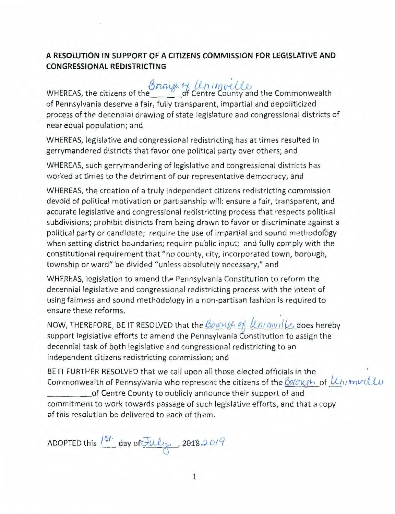## **A RESOLUTION IN SUPPORT OF A CITIZENS COMMISSION FOR LEGISLATIVE AND CONGRESSIONAL REDISTRICTING**

**8 natge of Unimvelles**<br>WHEREAS, the citizens of the <u>County and the Commonwealth</u> of Pennsylvania deserve a fair, fully transparent, impartial and depoliticized process of the decennial drawing of state legislature and congressional districts of near equal population; and

WHEREAS, legislative and congressional redistricting has at times resulted in gerrymandered districts that favor one political party over others; and

WHEREAS, such gerrymandering of legislative and congressional districts has worked at times to the detriment of our representative democracy; and

WHEREAS, the creation of a truly independent citizens redistricting commission devoid of political motivation or partisanship will: ensure a fair, transparent, and accurate legislative and congressional redistricting process that respects political subdivisions; prohibit districts from being drawn to favor or discriminate against a political party or candidate; require the use of impartial and sound methodology when setting district boundaries; require public input; and fully comply with the constitutional requirement that "no county, city, incorporated town, borough, township or ward" be divided "unless absolutely necessary," and

WHEREAS, legislation to amend the Pennsylvania Constitution to reform the decennial legislative and congressional redistricting process with the intent of using fairness and sound methodology in a non-partisan fashion is required to ensure these reforms.

NOW, THEREFORE, BE IT RESOLVED that the *Boungh of Uninville* does hereby support legislative efforts to amend the Pennsylvania Constitution to assign the decennial task of both legislative and congressional redistricting to an independent citizens redistricting commission; and

BE IT FURTHER RESOLVED that we call upon all those elected officials in the ' Commonwealth of Pennsylvania who represent the citizens of the **Borough** of *Unionvelle*<br>of Centre County to publicly announce their support of and

commitment to work towards passage of such legislative efforts, and that a copy of this resolution be delivered to each of them.

ADOPTED this  $15t$  day of July, 20182019